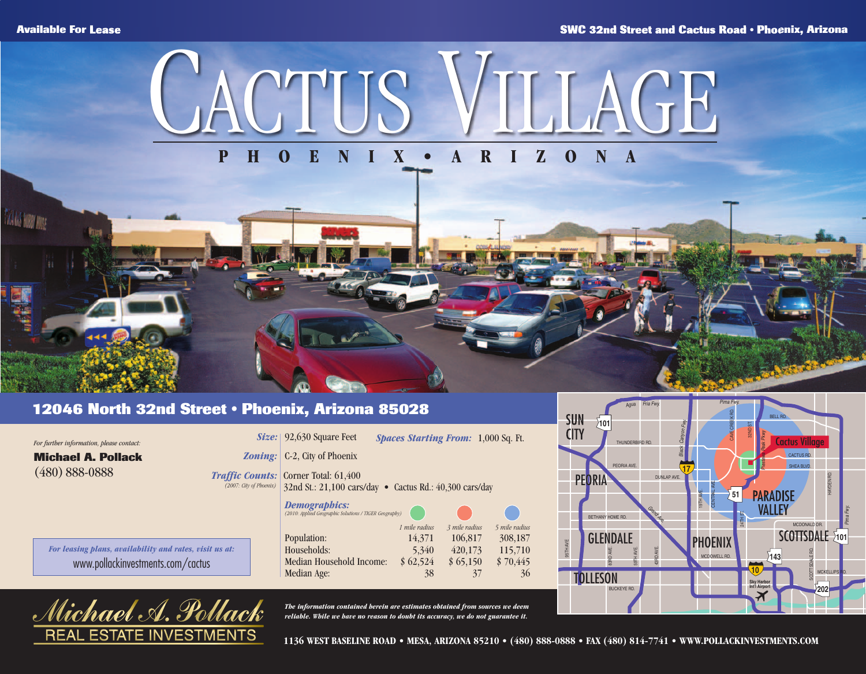*GALLY HORT MAN* 



## **PHOENIX•ARIZONA**

## **12046 North 32nd Street • Phoenix, Arizona 85028**

ГS

INVESTMEN

ra*el .* Al

**ESTAT** 

REAl

| For further information, please contact:                |                                                                                | Size: 92,630 Square Feet                                                                               | <b>Spaces Starting From: 1,000 Sq. Ft.</b> |                    |                    | <b>UIY</b> |
|---------------------------------------------------------|--------------------------------------------------------------------------------|--------------------------------------------------------------------------------------------------------|--------------------------------------------|--------------------|--------------------|------------|
| <b>Michael A. Pollack</b>                               | $\boldsymbol{\textit{Zoning}:}$                                                | C-2, City of Phoenix                                                                                   |                                            |                    |                    |            |
| $(480) 888 - 0888$                                      | (2007: City of Phoenix)                                                        | <i>Traffic Counts:</i> Corner Total: 61,400<br>32nd St.: 21,100 cars/day • Cactus Rd.: 40,300 cars/day |                                            |                    |                    | PE         |
|                                                         | <b>Demographics:</b><br>(2010: Applied Geographic Solutions / TIGER Geography) |                                                                                                        |                                            |                    |                    |            |
|                                                         |                                                                                |                                                                                                        | 1 mile radius                              | 3 mile radius      | 5 mile radius      |            |
| For leasing plans, availability and rates, visit us at: |                                                                                | Population:<br>Households:                                                                             | 14,371<br>5,340                            | 106.817<br>420.173 | 308,187<br>115,710 | 95TH AVE   |
| www.pollackinvestments.com/cactus                       |                                                                                | Median Household Income:                                                                               | \$62,524                                   | \$65,150           | \$70,445           |            |
|                                                         |                                                                                | Median Age:                                                                                            | 38                                         | 37                 | 36                 | TOI        |
| Λ                                                       | $\lt$ $\mathbf{X}$                                                             |                                                                                                        |                                            |                    |                    |            |

*The information contained herein are estimates obtained from sources we deem reliable. While we have no reason to doubt its accuracy, we do not guarantee it.*



**1136 WEST BASELINE ROAD • MESA, ARIZONA 85210 • (480) 888-0888 • FAX (480) 814-7741 • WWW.POLLACKINVESTMENTS.COM**